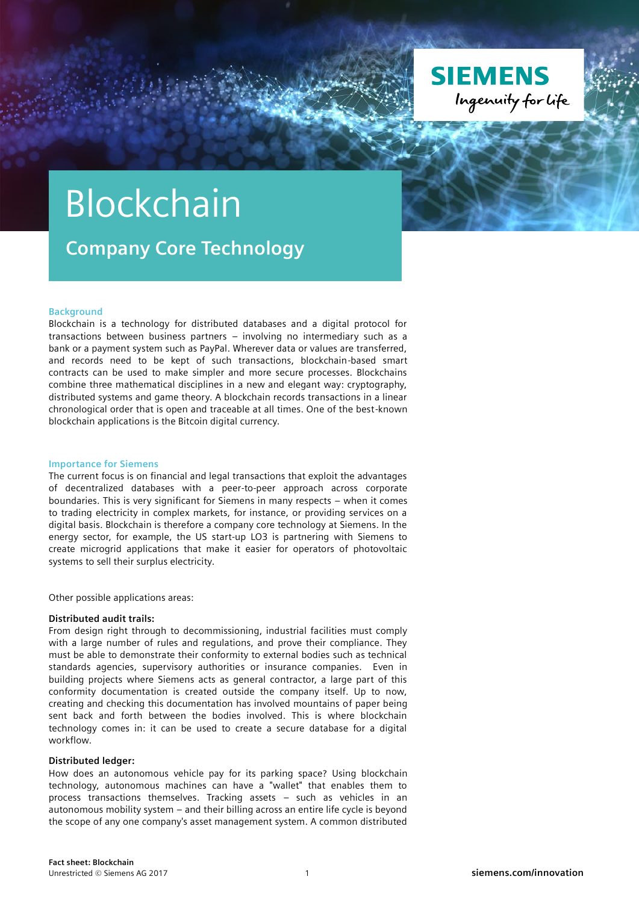

# Blockchain

**Company Core Technology**

#### **Background**

Blockchain is a technology for distributed databases and a digital protocol for transactions between business partners – involving no intermediary such as a bank or a payment system such as PayPal. Wherever data or values are transferred, and records need to be kept of such transactions, blockchain-based smart contracts can be used to make simpler and more secure processes. Blockchains combine three mathematical disciplines in a new and elegant way: cryptography, distributed systems and game theory. A blockchain records transactions in a linear chronological order that is open and traceable at all times. One of the best-known blockchain applications is the Bitcoin digital currency.

### **Importance for Siemens**

The current focus is on financial and legal transactions that exploit the advantages of decentralized databases with a peer-to-peer approach across corporate boundaries. This is very significant for Siemens in many respects – when it comes to trading electricity in complex markets, for instance, or providing services on a digital basis. Blockchain is therefore a company core technology at Siemens. In the energy sector, for example, the US start-up LO3 is partnering with Siemens to create microgrid applications that make it easier for operators of photovoltaic systems to sell their surplus electricity.

Other possible applications areas:

### **Distributed audit trails:**

From design right through to decommissioning, industrial facilities must comply with a large number of rules and regulations, and prove their compliance. They must be able to demonstrate their conformity to external bodies such as technical standards agencies, supervisory authorities or insurance companies. Even in building projects where Siemens acts as general contractor, a large part of this conformity documentation is created outside the company itself. Up to now, creating and checking this documentation has involved mountains of paper being sent back and forth between the bodies involved. This is where blockchain technology comes in: it can be used to create a secure database for a digital workflow.

#### **Distributed ledger:**

How does an autonomous vehicle pay for its parking space? Using blockchain technology, autonomous machines can have a "wallet" that enables them to process transactions themselves. Tracking assets – such as vehicles in an autonomous mobility system – and their billing across an entire life cycle is beyond the scope of any one company's asset management system. A common distributed